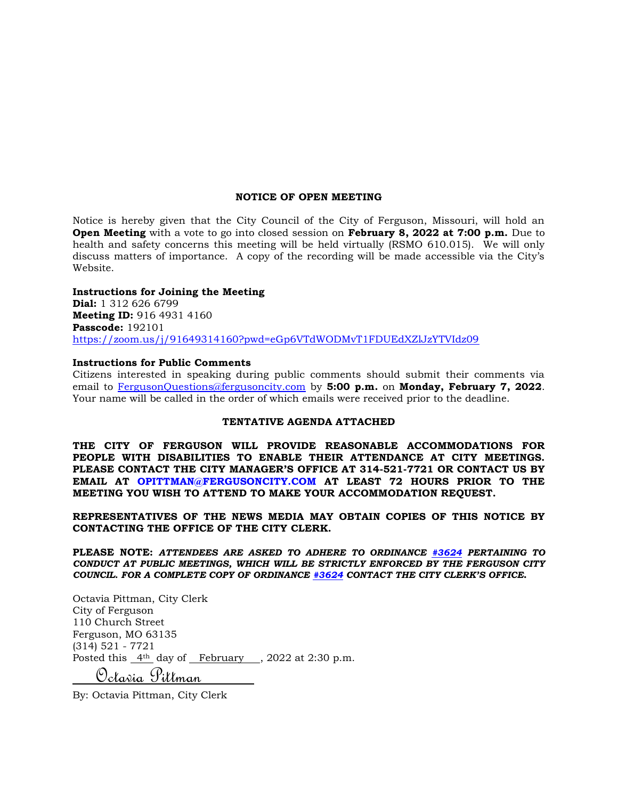#### **NOTICE OF OPEN MEETING**

Notice is hereby given that the City Council of the City of Ferguson, Missouri, will hold an **Open Meeting** with a vote to go into closed session on **February 8, 2022 at 7:00 p.m.** Due to health and safety concerns this meeting will be held virtually (RSMO 610.015). We will only discuss matters of importance. A copy of the recording will be made accessible via the City's Website.

#### **Instructions for Joining the Meeting**

**Dial:** 1 312 626 6799 **Meeting ID:** 916 4931 4160 **Passcode:** 192101 <https://zoom.us/j/91649314160?pwd=eGp6VTdWODMvT1FDUEdXZlJzYTVIdz09>

#### **Instructions for Public Comments**

Citizens interested in speaking during public comments should submit their comments via email to [FergusonQuestions@fergusoncity.com](mailto:FergusonQuestions@fergusoncity.com) by **5:00 p.m.** on **Monday, February 7, 2022**. Your name will be called in the order of which emails were received prior to the deadline.

#### **TENTATIVE AGENDA ATTACHED**

**THE CITY OF FERGUSON WILL PROVIDE REASONABLE ACCOMMODATIONS FOR PEOPLE WITH DISABILITIES TO ENABLE THEIR ATTENDANCE AT CITY MEETINGS. PLEASE CONTACT THE CITY MANAGER'S OFFICE AT 314-521-7721 OR CONTACT US BY EMAIL AT OPITTMAN@FERGUSONCITY.COM AT LEAST 72 HOURS PRIOR TO THE MEETING YOU WISH TO ATTEND TO MAKE YOUR ACCOMMODATION REQUEST.**

**REPRESENTATIVES OF THE NEWS MEDIA MAY OBTAIN COPIES OF THIS NOTICE BY CONTACTING THE OFFICE OF THE CITY CLERK.**

**PLEASE NOTE:** *ATTENDEES ARE ASKED TO ADHERE TO ORDINANCE [#3624](https://www.fergusoncity.com/DocumentCenter/View/3634/Ord-2016-3624-Amending-Chapt-2-addition-of-Sec-2-32-Conduct-at-Public-Mtgs) PERTAINING TO CONDUCT AT PUBLIC MEETINGS, WHICH WILL BE STRICTLY ENFORCED BY THE FERGUSON CITY COUNCIL. FOR A COMPLETE COPY OF ORDINANCE [#3624](https://www.fergusoncity.com/DocumentCenter/View/3634/Ord-2016-3624-Amending-Chapt-2-addition-of-Sec-2-32-Conduct-at-Public-Mtgs) CONTACT THE CITY CLERK'S OFFICE***.**

Octavia Pittman, City Clerk City of Ferguson 110 Church Street Ferguson, MO 63135 (314) 521 - 7721 Posted this  $4<sup>th</sup>$  day of February, 2022 at 2:30 p.m. Octavia Pittman

By: Octavia Pittman, City Clerk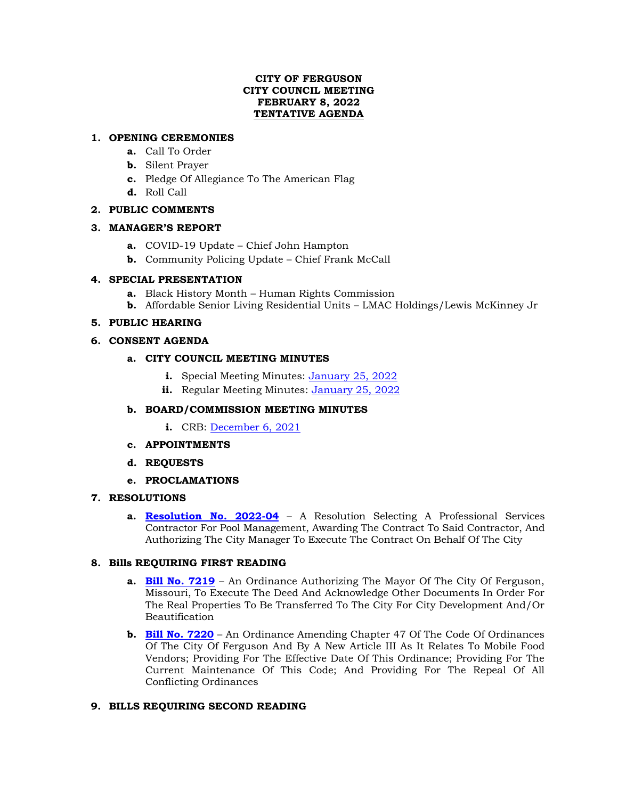#### **CITY OF FERGUSON CITY COUNCIL MEETING FEBRUARY 8, 2022 TENTATIVE AGENDA**

# **1. OPENING CEREMONIES**

- **a.** Call To Order
- **b.** Silent Prayer
- **c.** Pledge Of Allegiance To The American Flag
- **d.** Roll Call

# **2. PUBLIC COMMENTS**

#### **3. MANAGER'S REPORT**

- **a.** COVID-19 Update Chief John Hampton
- **b.** Community Policing Update Chief Frank McCall

# **4. SPECIAL PRESENTATION**

- **a.** Black History Month Human Rights Commission
- **b.** Affordable Senior Living Residential Units LMAC Holdings/Lewis McKinney Jr

# **5. PUBLIC HEARING**

# **6. CONSENT AGENDA**

# **a. CITY COUNCIL MEETING MINUTES**

- **i.** Special Meeting Minutes: [January 25, 2022](https://www.fergusoncity.com/DocumentCenter/View/5571/Council-special-meeting-minutes-012522)
- **ii.** Regular Meeting Minutes: [January 25, 2022](https://www.fergusoncity.com/DocumentCenter/View/5573/Council-Meeting-Minutes-012522)

# **b. BOARD/COMMISSION MEETING MINUTES**

- **i.** CRB: [December 6, 2021](https://www.fergusoncity.com/DocumentCenter/View/5572/FCRB-Open-Meeting-Minutes-12062021)
- **c. APPOINTMENTS**
- **d. REQUESTS**
- **e. PROCLAMATIONS**

# **7. RESOLUTIONS**

**a. [Resolution No. 2022-04](https://www.fergusoncity.com/DocumentCenter/View/5566/Resolution-No-2022-04-Pool-Mgt)** – A Resolution Selecting A Professional Services Contractor For Pool Management, Awarding The Contract To Said Contractor, And Authorizing The City Manager To Execute The Contract On Behalf Of The City

# **8. Bills REQUIRING FIRST READING**

- **a. [Bill No. 7219](https://www.fergusoncity.com/DocumentCenter/View/5569/Bill-No-7221-2022-xxxx-Post-third-Property-Acquisition-Ordinance)** An Ordinance Authorizing The Mayor Of The City Of Ferguson, Missouri, To Execute The Deed And Acknowledge Other Documents In Order For The Real Properties To Be Transferred To The City For City Development And/Or Beautification
- **b. [Bill No. 7220](https://www.fergusoncity.com/DocumentCenter/View/5568/Bill-No-7220-2022-xxx-Mobile-Food-Truck-Permit)** An Ordinance Amending Chapter 47 Of The Code Of Ordinances Of The City Of Ferguson And By A New Article III As It Relates To Mobile Food Vendors; Providing For The Effective Date Of This Ordinance; Providing For The Current Maintenance Of This Code; And Providing For The Repeal Of All Conflicting Ordinances

# **9. BILLS REQUIRING SECOND READING**